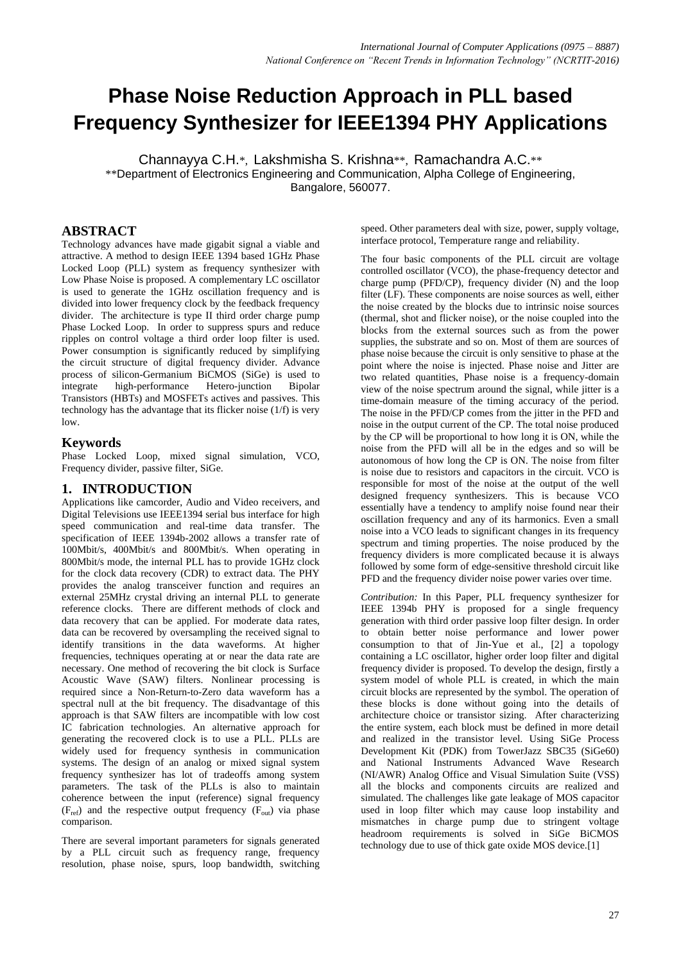# **Phase Noise Reduction Approach in PLL based Frequency Synthesizer for IEEE1394 PHY Applications**

Channayya C.H.\*, Lakshmisha S. Krishna\*\*, Ramachandra A.C.\*\* \*\*Department of Electronics Engineering and Communication, Alpha College of Engineering, Bangalore, 560077.

## **ABSTRACT**

Technology advances have made gigabit signal a viable and attractive. A method to design IEEE 1394 based 1GHz Phase Locked Loop (PLL) system as frequency synthesizer with Low Phase Noise is proposed. A complementary LC oscillator is used to generate the 1GHz oscillation frequency and is divided into lower frequency clock by the feedback frequency divider. The architecture is type II third order charge pump Phase Locked Loop. In order to suppress spurs and reduce ripples on control voltage a third order loop filter is used. Power consumption is significantly reduced by simplifying the circuit structure of digital frequency divider. Advance process of silicon-Germanium BiCMOS (SiGe) is used to integrate high-performance Hetero-junction Bipolar Transistors (HBTs) and MOSFETs actives and passives. This technology has the advantage that its flicker noise (1/f) is very low.

## **Keywords**

Phase Locked Loop, mixed signal simulation, VCO, Frequency divider, passive filter, SiGe.

## **1. INTRODUCTION**

Applications like camcorder, Audio and Video receivers, and Digital Televisions use IEEE1394 serial bus interface for high speed communication and real-time data transfer. The specification of IEEE 1394b-2002 allows a transfer rate of 100Mbit/s, 400Mbit/s and 800Mbit/s. When operating in 800Mbit/s mode, the internal PLL has to provide 1GHz clock for the clock data recovery (CDR) to extract data. The PHY provides the analog transceiver function and requires an external 25MHz crystal driving an internal PLL to generate reference clocks. There are different methods of clock and data recovery that can be applied. For moderate data rates, data can be recovered by oversampling the received signal to identify transitions in the data waveforms. At higher frequencies, techniques operating at or near the data rate are necessary. One method of recovering the bit clock is Surface Acoustic Wave (SAW) filters. Nonlinear processing is required since a Non-Return-to-Zero data waveform has a spectral null at the bit frequency. The disadvantage of this approach is that SAW filters are incompatible with low cost IC fabrication technologies. An alternative approach for generating the recovered clock is to use a PLL. PLLs are widely used for frequency synthesis in communication systems. The design of an analog or mixed signal system frequency synthesizer has lot of tradeoffs among system parameters. The task of the PLLs is also to maintain coherence between the input (reference) signal frequency  $(F_{ref})$  and the respective output frequency  $(F_{out})$  via phase comparison.

There are several important parameters for signals generated by a PLL circuit such as frequency range, frequency resolution, phase noise, spurs, loop bandwidth, switching speed. Other parameters deal with size, power, supply voltage, interface protocol, Temperature range and reliability.

The four basic components of the PLL circuit are voltage controlled oscillator (VCO), the phase-frequency detector and charge pump (PFD/CP), frequency divider (N) and the loop filter (LF). These components are noise sources as well, either the noise created by the blocks due to intrinsic noise sources (thermal, shot and flicker noise), or the noise coupled into the blocks from the external sources such as from the power supplies, the substrate and so on. Most of them are sources of phase noise because the circuit is only sensitive to phase at the point where the noise is injected. Phase noise and Jitter are two related quantities, Phase noise is a frequency-domain view of the noise spectrum around the signal, while jitter is a time-domain measure of the timing accuracy of the period. The noise in the PFD/CP comes from the jitter in the PFD and noise in the output current of the CP. The total noise produced by the CP will be proportional to how long it is ON, while the noise from the PFD will all be in the edges and so will be autonomous of how long the CP is ON. The noise from filter is noise due to resistors and capacitors in the circuit. VCO is responsible for most of the noise at the output of the well designed frequency synthesizers. This is because VCO essentially have a tendency to amplify noise found near their oscillation frequency and any of its harmonics. Even a small noise into a VCO leads to significant changes in its frequency spectrum and timing properties. The noise produced by the frequency dividers is more complicated because it is always followed by some form of edge-sensitive threshold circuit like PFD and the frequency divider noise power varies over time.

*Contribution:* In this Paper, PLL frequency synthesizer for IEEE 1394b PHY is proposed for a single frequency generation with third order passive loop filter design. In order to obtain better noise performance and lower power consumption to that of Jin-Yue et al., [2] a topology containing a LC oscillator, higher order loop filter and digital frequency divider is proposed. To develop the design, firstly a system model of whole PLL is created, in which the main circuit blocks are represented by the symbol. The operation of these blocks is done without going into the details of architecture choice or transistor sizing. After characterizing the entire system, each block must be defined in more detail and realized in the transistor level. Using SiGe Process Development Kit (PDK) from TowerJazz SBC35 (SiGe60) and National Instruments Advanced Wave Research (NI/AWR) Analog Office and Visual Simulation Suite (VSS) all the blocks and components circuits are realized and simulated. The challenges like gate leakage of MOS capacitor used in loop filter which may cause loop instability and mismatches in charge pump due to stringent voltage headroom requirements is solved in SiGe BiCMOS technology due to use of thick gate oxide MOS device.[1]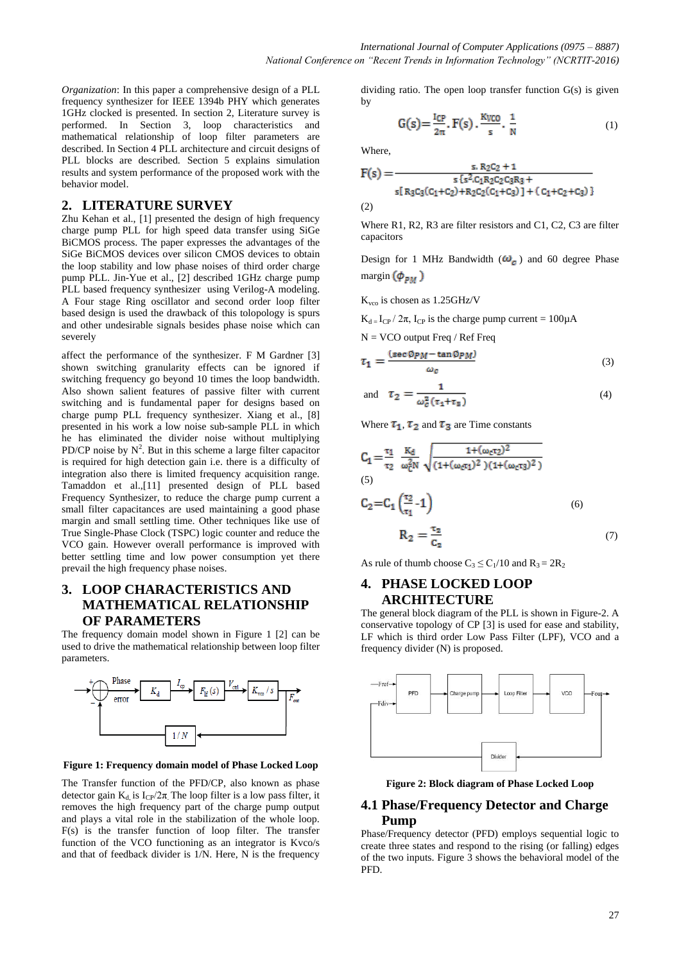*Organization*: In this paper a comprehensive design of a PLL frequency synthesizer for IEEE 1394b PHY which generates 1GHz clocked is presented. In section 2, Literature survey is performed. In Section 3, loop characteristics and mathematical relationship of loop filter parameters are described. In Section 4 PLL architecture and circuit designs of PLL blocks are described. Section 5 explains simulation results and system performance of the proposed work with the behavior model.

## **2. LITERATURE SURVEY**

Zhu Kehan et al., [1] presented the design of high frequency charge pump PLL for high speed data transfer using SiGe BiCMOS process. The paper expresses the advantages of the SiGe BiCMOS devices over silicon CMOS devices to obtain the loop stability and low phase noises of third order charge pump PLL. Jin-Yue et al., [2] described 1GHz charge pump PLL based frequency synthesizer using Verilog-A modeling. A Four stage Ring oscillator and second order loop filter based design is used the drawback of this tolopology is spurs and other undesirable signals besides phase noise which can severely

affect the performance of the synthesizer. F M Gardner [3] shown switching granularity effects can be ignored if switching frequency go beyond 10 times the loop bandwidth. Also shown salient features of passive filter with current switching and is fundamental paper for designs based on charge pump PLL frequency synthesizer. Xiang et al., [8] presented in his work a low noise sub-sample PLL in which he has eliminated the divider noise without multiplying PD/CP noise by  $N^2$ . But in this scheme a large filter capacitor is required for high detection gain i.e. there is a difficulty of integration also there is limited frequency acquisition range. Tamaddon et al.,[11] presented design of PLL based Frequency Synthesizer, to reduce the charge pump current a small filter capacitances are used maintaining a good phase margin and small settling time. Other techniques like use of True Single-Phase Clock (TSPC) logic counter and reduce the VCO gain. However overall performance is improved with better settling time and low power consumption yet there prevail the high frequency phase noises.

## **3. LOOP CHARACTERISTICS AND MATHEMATICAL RELATIONSHIP OF PARAMETERS**

The frequency domain model shown in Figure 1 [2] can be used to drive the mathematical relationship between loop filter parameters.



**Figure 1: Frequency domain model of Phase Locked Loop**

The Transfer function of the PFD/CP, also known as phase detector gain K<sub>d</sub> is  $I_{CP}/2\pi$  The loop filter is a low pass filter, it removes the high frequency part of the charge pump output and plays a vital role in the stabilization of the whole loop. F(s) is the transfer function of loop filter. The transfer function of the VCO functioning as an integrator is Kvco/s and that of feedback divider is 1/N. Here, N is the frequency dividing ratio. The open loop transfer function G(s) is given by

$$
G(s) = \frac{I_{CP}}{2\pi}, F(s), \frac{Kyco}{s}, \frac{1}{N}
$$
 (1)

Where,

$$
F(s) = \frac{s R_2 C_2 + 1}{s \{s^2 C_1 R_2 C_2 C_3 R_3 + s \{R_3 C_3 (C_1 + C_2) + R_2 C_2 (C_1 + C_3)\} + (C_1 + C_2 + C_3)\}}
$$
  
(2)

Where R1, R2, R3 are filter resistors and C1, C2, C3 are filter capacitors

Design for 1 MHz Bandwidth  $(\omega_{\alpha})$  and 60 degree Phase margin  $(\phi_{\text{pu}})$ 

 $K_{vco}$  is chosen as 1.25GHz/V

 $K_{d} = I_{CP} / 2\pi$ , I<sub>CP</sub> is the charge pump current = 100 $\mu$ A

$$
N = VCO output Freq / Ref Freq
$$
  
\n
$$
\tau_1 = \frac{(sec \Phi p_M - tan \Phi p_M)}{dG}
$$
 (3)

and 
$$
\tau_2 = \frac{1}{\omega_c^2 (\tau_1 + \tau_3)}
$$
 (4)

Where  $\tau_1$ ,  $\tau_2$  and  $\tau_3$  are Time constants

$$
C_{1} = \frac{\tau_{1}}{\tau_{2}} \frac{K_{d}}{\omega_{C}^{2}N} \sqrt{\frac{1 + (\omega_{C}\tau_{2})^{2}}{(1 + (\omega_{C}\tau_{1})^{2})(1 + (\omega_{C}\tau_{3})^{2})}}
$$
\n(5)\n
$$
C_{2} = C_{1} \left(\frac{\tau_{2}}{\tau_{1}} - 1\right)
$$
\n(6)\n
$$
R_{2} = \frac{\tau_{2}}{C}
$$
\n(7)

As rule of thumb choose  $C_3 \le C_1/10$  and  $R_3 = 2R_2$ 

## **4. PHASE LOCKED LOOP ARCHITECTURE**

The general block diagram of the PLL is shown in Figure-2. A conservative topology of CP [3] is used for ease and stability, LF which is third order Low Pass Filter (LPF), VCO and a frequency divider (N) is proposed.



**Figure 2: Block diagram of Phase Locked Loop**

## **4.1 Phase/Frequency Detector and Charge Pump**

Phase/Frequency detector (PFD) employs sequential logic to create three states and respond to the rising (or falling) edges of the two inputs. Figure 3 shows the behavioral model of the PFD.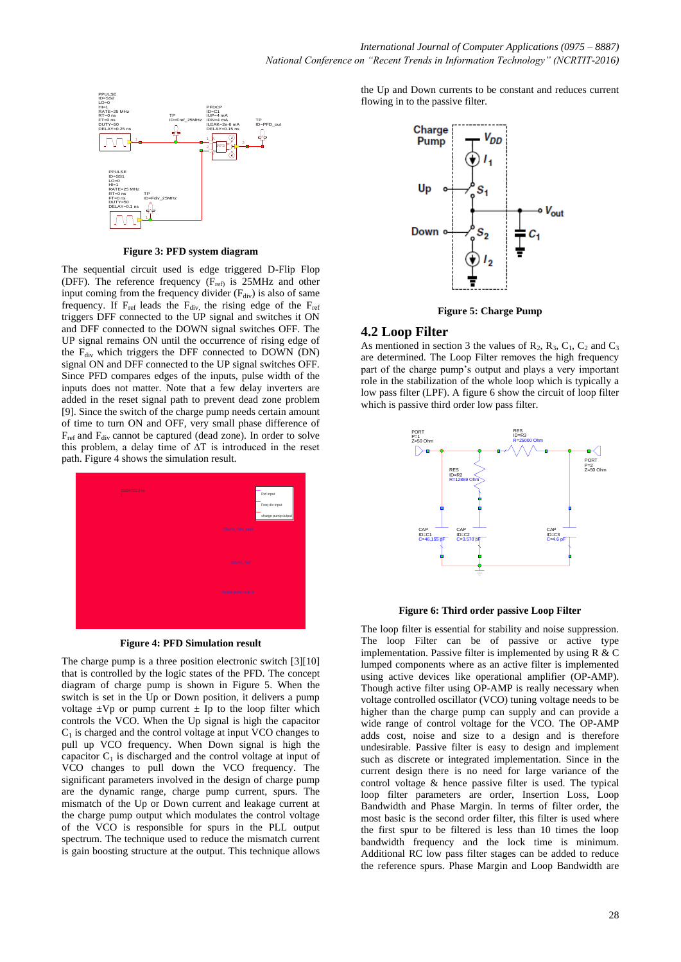

**Figure 3: PFD system diagram**

The sequential circuit used is edge triggered D-Flip Flop (DFF). The reference frequency ( $F_{ref}$ ) is 25MHz and other input coming from the frequency divider  $(F_{div})$  is also of same frequency. If  $F_{ref}$  leads the  $F_{div}$ , the rising edge of the  $F_{ref}$ triggers DFF connected to the UP signal and switches it ON and DFF connected to the DOWN signal switches OFF. The UP signal remains ON until the occurrence of rising edge of the  $F_{div}$  which triggers the DFF connected to DOWN (DN) signal ON and DFF connected to the UP signal switches OFF. Since PFD compares edges of the inputs, pulse width of the inputs does not matter. Note that a few delay inverters are added in the reset signal path to prevent dead zone problem [9]. Since the switch of the charge pump needs certain amount of time to turn ON and OFF, very small phase difference of  $F_{ref}$  and  $F_{div}$  cannot be captured (dead zone). In order to solve this problem, a delay time of ∆T is introduced in the reset path. Figure 4 shows the simulation result.





The charge pump is a three position electronic switch [3][10] that is controlled by the logic states of the PFD. The concept diagram of charge pump is shown in Figure 5. When the switch is set in the Up or Down position, it delivers a pump voltage  $\pm Vp$  or pump current  $\pm Ip$  to the loop filter which controls the VCO. When the Up signal is high the capacitor  $C_1$  is charged and the control voltage at input VCO changes to pull up VCO frequency. When Down signal is high the capacitor  $C_1$  is discharged and the control voltage at input of VCO changes to pull down the VCO frequency. The significant parameters involved in the design of charge pump are the dynamic range, charge pump current, spurs. The mismatch of the Up or Down current and leakage current at the charge pump output which modulates the control voltage of the VCO is responsible for spurs in the PLL output spectrum. The technique used to reduce the mismatch current is gain boosting structure at the output. This technique allows the Up and Down currents to be constant and reduces current flowing in to the passive filter.





### **4.2 Loop Filter**

As mentioned in section 3 the values of  $R_2$ ,  $R_3$ ,  $C_1$ ,  $C_2$  and  $C_3$ are determined. The Loop Filter removes the high frequency part of the charge pump's output and plays a very important role in the stabilization of the whole loop which is typically a low pass filter (LPF). A figure 6 show the circuit of loop filter which is passive third order low pass filter.



**Figure 6: Third order passive Loop Filter**

The loop filter is essential for stability and noise suppression. The loop Filter can be of passive or active type implementation. Passive filter is implemented by using R & C lumped components where as an active filter is implemented using active devices like operational amplifier (OP-AMP). Though active filter using OP-AMP is really necessary when voltage controlled oscillator (VCO) tuning voltage needs to be higher than the charge pump can supply and can provide a wide range of control voltage for the VCO. The OP-AMP adds cost, noise and size to a design and is therefore undesirable. Passive filter is easy to design and implement such as discrete or integrated implementation. Since in the current design there is no need for large variance of the control voltage & hence passive filter is used. The typical loop filter parameters are order, Insertion Loss, Loop Bandwidth and Phase Margin. In terms of filter order, the most basic is the second order filter, this filter is used where the first spur to be filtered is less than 10 times the loop bandwidth frequency and the lock time is minimum. Additional RC low pass filter stages can be added to reduce the reference spurs. Phase Margin and Loop Bandwidth are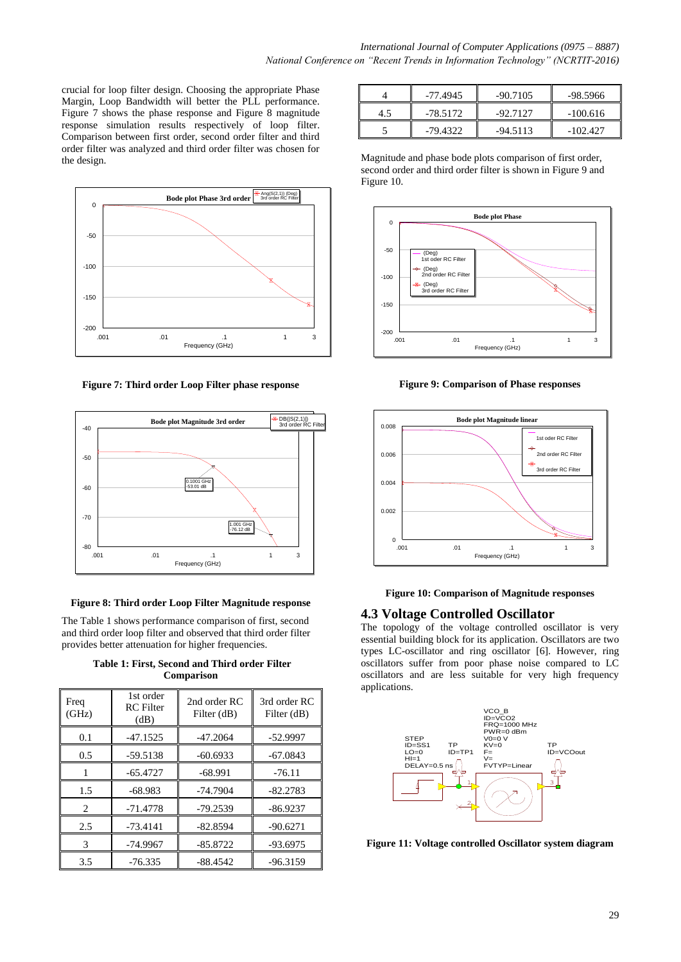crucial for loop filter design. Choosing the appropriate Phase Margin, Loop Bandwidth will better the PLL performance. Figure 7 shows the phase response and Figure 8 magnitude response simulation results respectively of loop filter. Comparison between first order, second order filter and third order filter was analyzed and third order filter was chosen for the design.



**Figure 7: Third order Loop Filter phase response**



#### **Figure 8: Third order Loop Filter Magnitude response**

The Table 1 shows performance comparison of first, second and third order loop filter and observed that third order filter provides better attenuation for higher frequencies.

**Table 1: First, Second and Third order Filter Comparison**

| Freq<br>(GHz) | 1st order<br><b>RC</b> Filter<br>(dB) | 2nd order RC<br>Filter (dB) | 3rd order RC<br>Filter (dB) |
|---------------|---------------------------------------|-----------------------------|-----------------------------|
| 0.1           | $-47.1525$                            | $-47.2064$                  | $-52.9997$                  |
| 0.5           | $-59.5138$                            | $-60.6933$                  | $-67.0843$                  |
|               | $-65.4727$                            | $-68.991$                   | $-76.11$                    |
| 1.5           | $-68.983$                             | $-74.7904$                  | $-82.2783$                  |
| 2             | $-71.4778$                            | $-79.2539$                  | $-86.9237$                  |
| 2.5           | $-73.4141$                            | $-82.8594$                  | $-90.6271$                  |
| 3             | $-74.9967$                            | $-85.8722$                  | $-93.6975$                  |
| 3.5           | $-76.335$                             | $-88.4542$                  | $-96.3159$                  |

|     | $-77.4945$ | $-90.7105$ | -98.5966   |
|-----|------------|------------|------------|
| 4.5 | -78.5172   | $-92.7127$ | $-100.616$ |
|     | -79.4322   | $-94.5113$ | $-102.427$ |

Magnitude and phase bode plots comparison of first order, second order and third order filter is shown in Figure 9 and Figure 10.



**Figure 9: Comparison of Phase responses** 



#### **Figure 10: Comparison of Magnitude responses**

## **4.3 Voltage Controlled Oscillator**

The topology of the voltage controlled oscillator is very essential building block for its application. Oscillators are two types LC-oscillator and ring oscillator [6]. However, ring oscillators suffer from poor phase noise compared to LC oscillators and are less suitable for very high frequency applications.



**Figure 11: Voltage controlled Oscillator system diagram**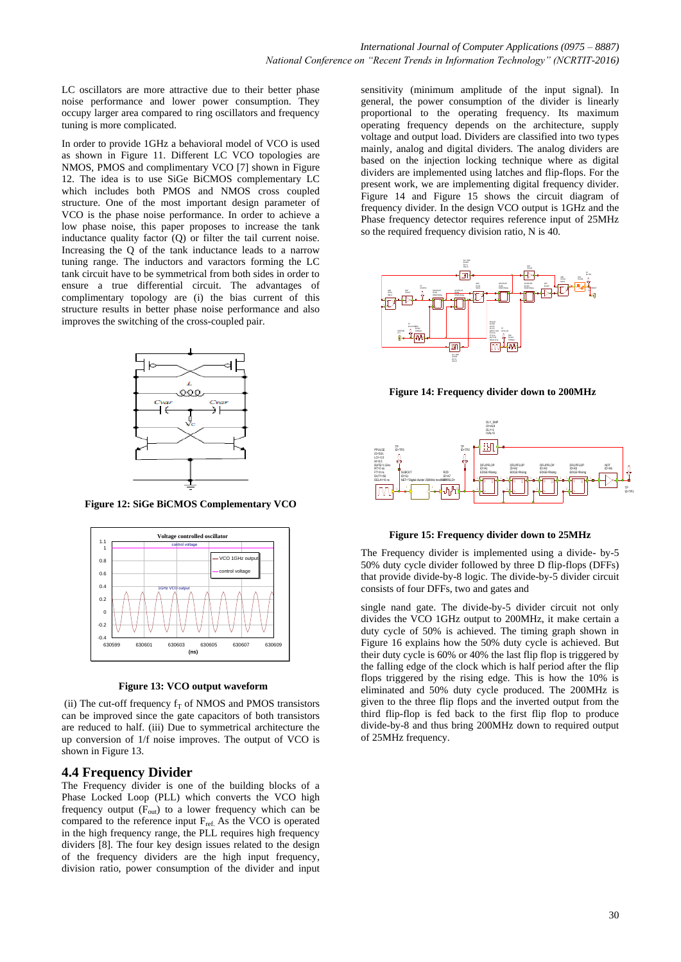LC oscillators are more attractive due to their better phase noise performance and lower power consumption. They occupy larger area compared to ring oscillators and frequency tuning is more complicated.

In order to provide 1GHz a behavioral model of VCO is used as shown in Figure 11. Different LC VCO topologies are NMOS, PMOS and complimentary VCO [7] shown in Figure 12. The idea is to use SiGe BiCMOS complementary LC which includes both PMOS and NMOS cross coupled structure. One of the most important design parameter of VCO is the phase noise performance. In order to achieve a low phase noise, this paper proposes to increase the tank inductance quality factor (Q) or filter the tail current noise. Increasing the Q of the tank inductance leads to a narrow tuning range. The inductors and varactors forming the LC tank circuit have to be symmetrical from both sides in order to ensure a true differential circuit. The advantages of complimentary topology are (i) the bias current of this structure results in better phase noise performance and also improves the switching of the cross-coupled pair.



**Figure 12: SiGe BiCMOS Complementary VCO**



**Figure 13: VCO output waveform**

(ii) The cut-off frequency  $f_T$  of NMOS and PMOS transistors can be improved since the gate capacitors of both transistors are reduced to half. (iii) Due to symmetrical architecture the up conversion of 1/f noise improves. The output of VCO is shown in Figure 13.

## **4.4 Frequency Divider**

The Frequency divider is one of the building blocks of a Phase Locked Loop (PLL) which converts the VCO high frequency output  $(F_{out})$  to a lower frequency which can be compared to the reference input F<sub>ref.</sub> As the VCO is operated in the high frequency range, the PLL requires high frequency dividers [8]. The four key design issues related to the design of the frequency dividers are the high input frequency, division ratio, power consumption of the divider and input sensitivity (minimum amplitude of the input signal). In general, the power consumption of the divider is linearly proportional to the operating frequency. Its maximum operating frequency depends on the architecture, supply voltage and output load. Dividers are classified into two types mainly, analog and digital dividers. The analog dividers are based on the injection locking technique where as digital dividers are implemented using latches and flip-flops. For the present work, we are implementing digital frequency divider. Figure 14 and Figure 15 shows the circuit diagram of frequency divider. In the design VCO output is 1GHz and the Phase frequency detector requires reference input of 25MHz so the required frequency division ratio, N is 40.



**Figure 14: Frequency divider down to 200MHz**



**Figure 15: Frequency divider down to 25MHz**

The Frequency divider is implemented using a divide- by-5 50% duty cycle divider followed by three D flip-flops (DFFs) that provide divide-by-8 logic. The divide-by-5 divider circuit consists of four DFFs, two and gates and

single nand gate. The divide-by-5 divider circuit not only divides the VCO 1GHz output to 200MHz, it make certain a duty cycle of 50% is achieved. The timing graph shown in Figure 16 explains how the 50% duty cycle is achieved. But their duty cycle is 60% or 40% the last flip flop is triggered by the falling edge of the clock which is half period after the flip flops triggered by the rising edge. This is how the 10% is eliminated and 50% duty cycle produced. The 200MHz is given to the three flip flops and the inverted output from the third flip-flop is fed back to the first flip flop to produce divide-by-8 and thus bring 200MHz down to required output of 25MHz frequency.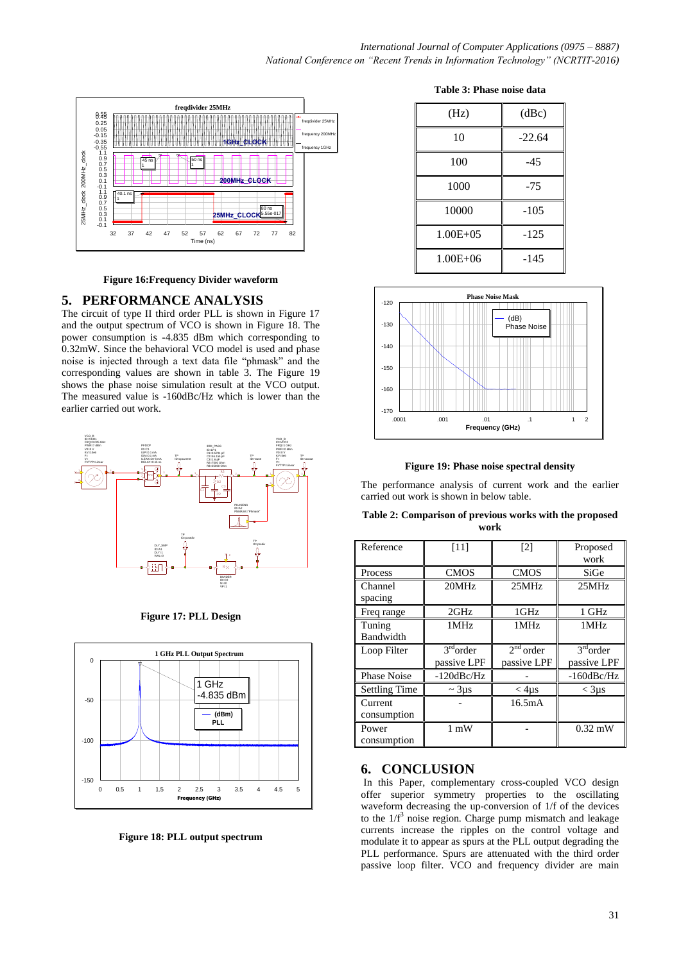

**Figure 16:Frequency Divider waveform**

## **5. PERFORMANCE ANALYSIS**

The circuit of type II third order PLL is shown in Figure 17 and the output spectrum of VCO is shown in Figure 18. The power consumption is -4.835 dBm which corresponding to 0.32mW. Since the behavioral VCO model is used and phase noise is injected through a text data file "phmask" and the corresponding values are shown in table 3. The Figure 19 shows the phase noise simulation result at the VCO output. The measured value is -160dBc/Hz which is lower than the earlier carried out work.



**Figure 17: PLL Design**



**Figure 18: PLL output spectrum**

|  |  | Table 3: Phase noise data |  |  |
|--|--|---------------------------|--|--|
|--|--|---------------------------|--|--|

| (Hz)         | (dBc)    |
|--------------|----------|
| 10           | $-22.64$ |
| 100          | $-45$    |
| 1000         | $-75$    |
| 10000        | $-105$   |
| $1.00E + 05$ | $-125$   |
| $1.00E + 06$ | -145     |



**Figure 19: Phase noise spectral density**

The performance analysis of current work and the earlier carried out work is shown in below table.

**Table 2: Comparison of previous works with the proposed work**

| Reference            | $[11]$           | $\lceil 2 \rceil$     | Proposed         |
|----------------------|------------------|-----------------------|------------------|
|                      |                  |                       | work             |
| Process              | <b>CMOS</b>      | <b>CMOS</b>           | SiGe             |
| Channel              | 20MHz            | 25MHz                 | 25MHz            |
| spacing              |                  |                       |                  |
| Freq range           | 2GHz             | $1$ GHz               | 1 GHz            |
| Tuning               | 1MHz             | 1MHz                  | 1MHz             |
| Bandwidth            |                  |                       |                  |
| Loop Filter          | $3rd$ order      | 2 <sup>nd</sup> order | $3rd$ order      |
|                      | passive LPF      | passive LPF           | passive LPF      |
| <b>Phase Noise</b>   | $-120$ dBc/Hz    |                       | $-160$ d $Bc/Hz$ |
| <b>Settling Time</b> | $\sim$ 3 $\mu$ s | $<$ 4 $\mu$ s         | $<$ 3 $\mu$ s    |
| Current              |                  | 16.5mA                |                  |
| consumption          |                  |                       |                  |
| Power                | $1 \text{ mW}$   |                       | $0.32$ mW        |
| consumption          |                  |                       |                  |

# **6. CONCLUSION**

In this Paper, complementary cross-coupled VCO design offer superior symmetry properties to the oscillating waveform decreasing the up-conversion of 1/f of the devices to the  $1/f^3$  noise region. Charge pump mismatch and leakage currents increase the ripples on the control voltage and modulate it to appear as spurs at the PLL output degrading the PLL performance. Spurs are attenuated with the third order passive loop filter. VCO and frequency divider are main